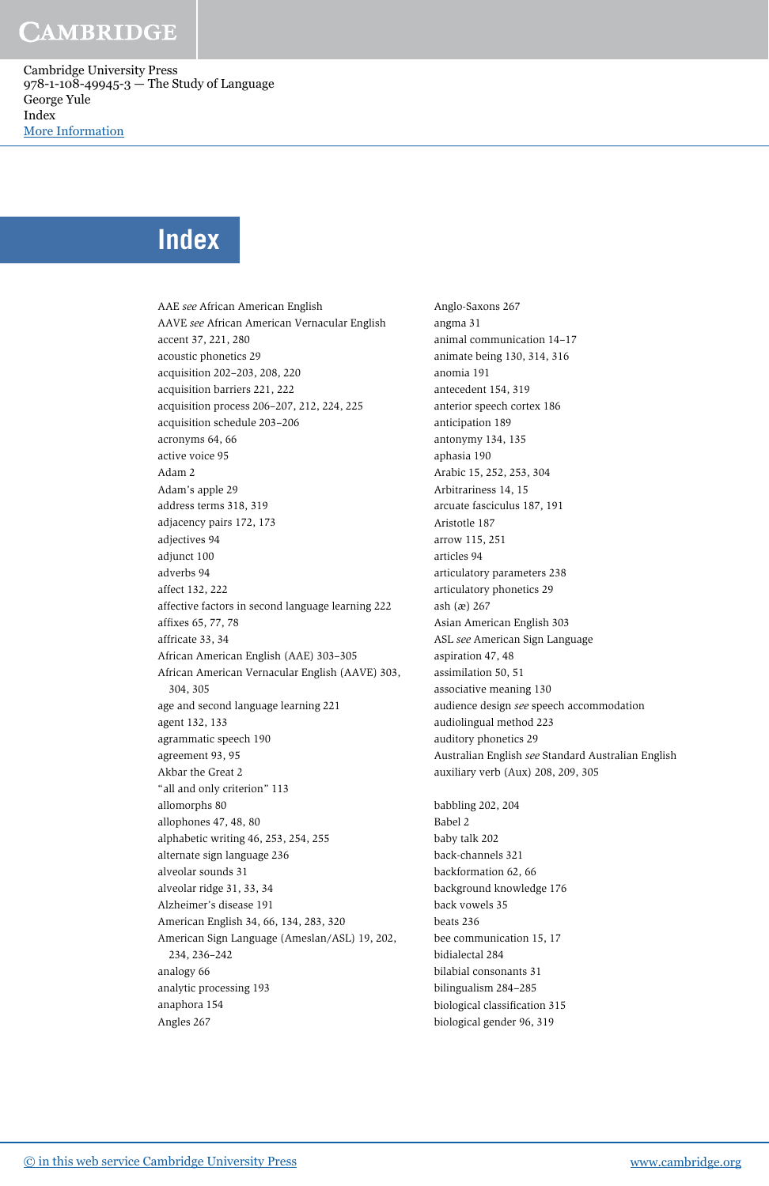Cambridge University Press 978-1-108-49945-3 — The Study of Language George Yule Index [More Information](www.cambridge.org/9781108499453)

#### **Index**

AAE see African American English AAVE see African American Vernacular English accent 37, 221, 280 acoustic phonetics 29 acquisition 202–203, 208, 220 acquisition barriers 221, 222 acquisition process 206–207, 212, 224, 225 acquisition schedule 203–206 acronyms 64, 66 active voice 95 Adam 2 Adam's apple 29 address terms 318, 319 adjacency pairs 172, 173 adjectives 94 adjunct 100 adverbs 94 affect 132, 222 affective factors in second language learning 222 affixes 65, 77, 78 affricate 33, 34 African American English (AAE) 303–305 African American Vernacular English (AAVE) 303, 304, 305 age and second language learning 221 agent 132, 133 agrammatic speech 190 agreement 93, 95 Akbar the Great 2 "all and only criterion" 113 allomorphs 80 allophones 47, 48, 80 alphabetic writing 46, 253, 254, 255 alternate sign language 236 alveolar sounds 31 alveolar ridge 31, 33, 34 Alzheimer's disease 191 American English 34, 66, 134, 283, 320 American Sign Language (Ameslan/ASL) 19, 202, 234, 236–242 analogy 66 analytic processing 193 anaphora 154 Angles 267

Anglo-Saxons 267 angma 31 animal communication 14–17 animate being 130, 314, 316 anomia 191 antecedent 154, 319 anterior speech cortex 186 anticipation 189 antonymy 134, 135 aphasia 190 Arabic 15, 252, 253, 304 Arbitrariness 14, 15 arcuate fasciculus 187, 191 Aristotle 187 arrow 115, 251 articles 94 articulatory parameters 238 articulatory phonetics 29 ash (æ) 267 Asian American English 303 ASL see American Sign Language aspiration 47, 48 assimilation 50, 51 associative meaning 130 audience design see speech accommodation audiolingual method 223 auditory phonetics 29 Australian English see Standard Australian English auxiliary verb (Aux) 208, 209, 305 babbling 202, 204 Babel 2 baby talk 202 back-channels 321 backformation 62, 66 background knowledge 176 back vowels 35 beats 236 bee communication 15, 17 bidialectal 284 bilabial consonants 31 bilingualism 284–285

biological classification 315 biological gender 96, 319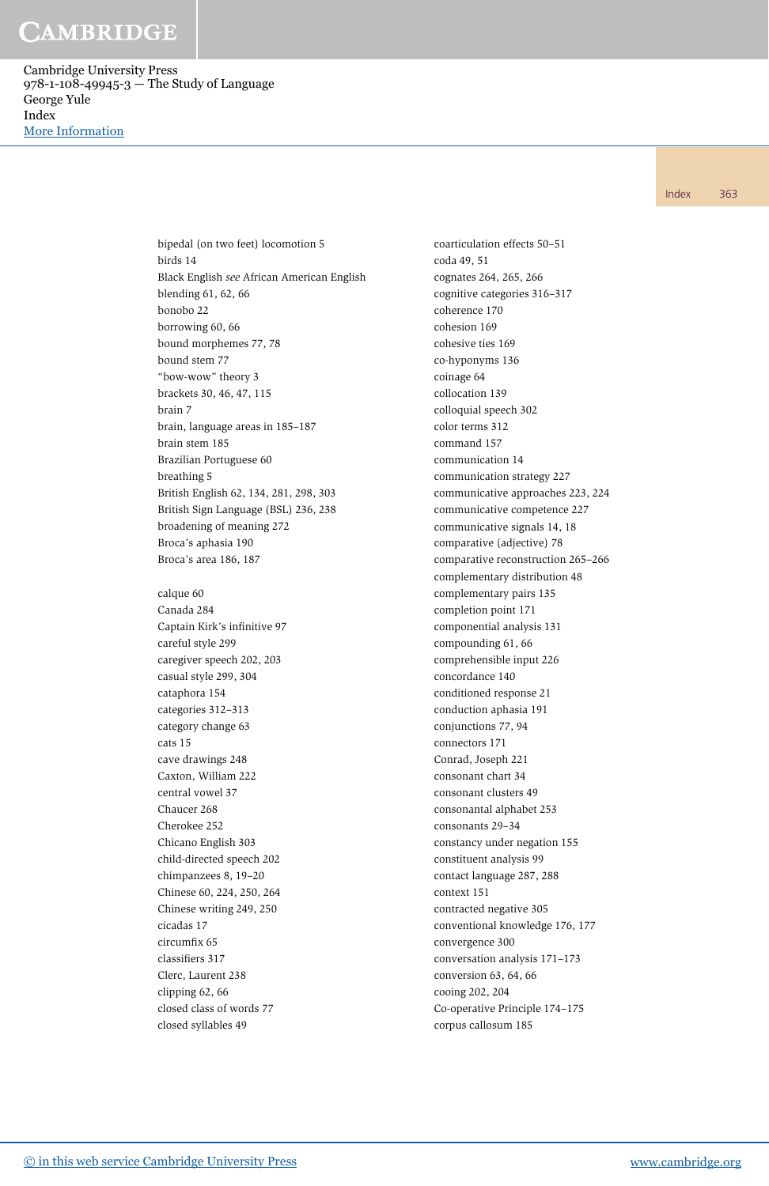Cambridge University Press 978-1-108-49945-3 — The Study of Language George Yule Index [More Information](www.cambridge.org/9781108499453)

Index 363

bipedal (on two feet) locomotion 5 birds 14 Black English see African American English blending 61, 62, 66 bonobo 22 borrowing 60, 66 bound morphemes 77, 78 bound stem 77 "bow-wow" theory 3 brackets 30, 46, 47, 115 brain 7 brain, language areas in 185–187 brain stem 185 Brazilian Portuguese 60 breathing 5 British English 62, 134, 281, 298, 303 British Sign Language (BSL) 236, 238 broadening of meaning 272 Broca's aphasia 190 Broca's area 186, 187 calque 60 Canada 284 Captain Kirk's infinitive 97 careful style 299 caregiver speech 202, 203 casual style 299, 304 cataphora 154 categories 312–313 category change 63 cats 15 cave drawings 248 Caxton, William 222 central vowel 37 Chaucer 268 Cherokee 252 Chicano English 303 child-directed speech 202 chimpanzees 8, 19–20 Chinese 60, 224, 250, 264 Chinese writing 249, 250 cicadas 17 circumfix 65 classifiers 317

Clerc, Laurent 238 clipping 62, 66 closed class of words 77 closed syllables 49

coarticulation effects 50–51 coda 49, 51 cognates 264, 265, 266 cognitive categories 316–317 coherence 170 cohesion 169 cohesive ties 169 co-hyponyms 136 coinage 64 collocation 139 colloquial speech 302 color terms 312 command 157 communication 14 communication strategy 227 communicative approaches 223, 224 communicative competence 227 communicative signals 14, 18 comparative (adjective) 78 comparative reconstruction 265–266 complementary distribution 48 complementary pairs 135 completion point 171 componential analysis 131 compounding 61, 66 comprehensible input 226 concordance 140 conditioned response 21 conduction aphasia 191 conjunctions 77, 94 connectors 171 Conrad, Joseph 221 consonant chart 34 consonant clusters 49 consonantal alphabet 253 consonants 29–34 constancy under negation 155 constituent analysis 99 contact language 287, 288 context 151 contracted negative 305 conventional knowledge 176, 177 convergence 300 conversation analysis 171–173 conversion 63, 64, 66 cooing 202, 204 Co-operative Principle 174–175 corpus callosum 185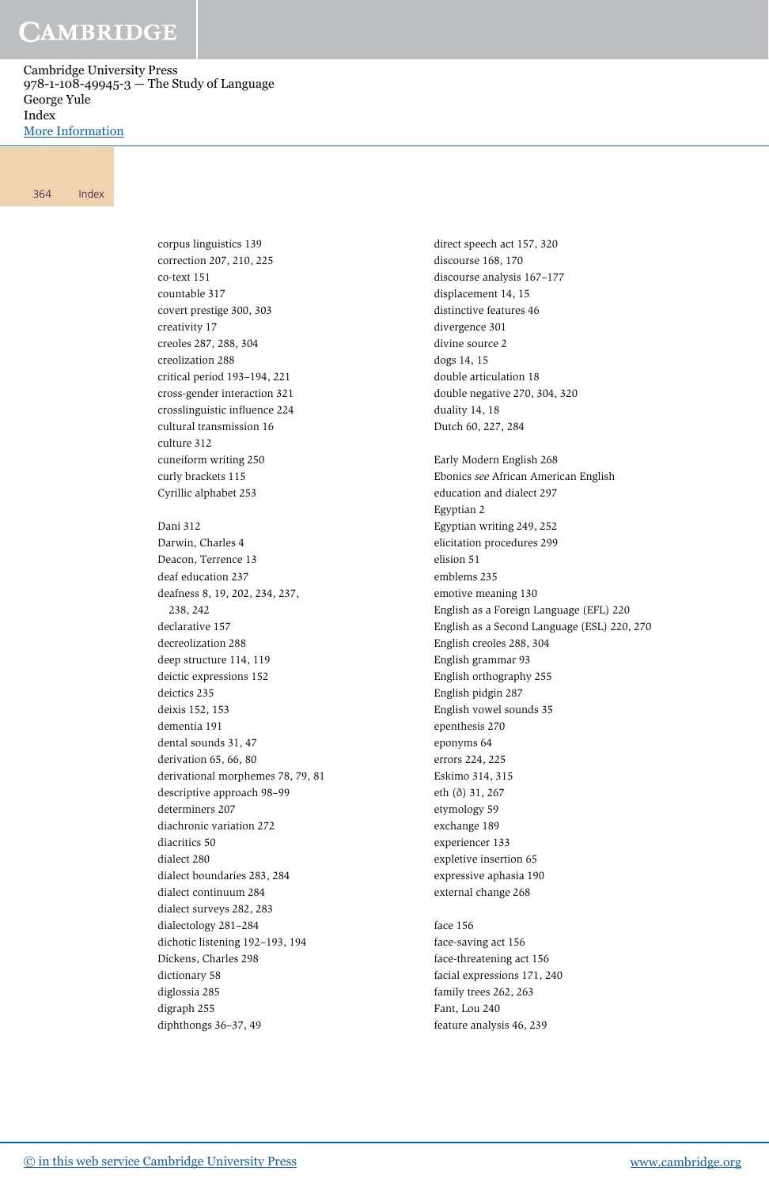Cambridge University Press 978-1-108-49945-3 — The Study of Language George Yule Index [More Information](www.cambridge.org/9781108499453)

364 Index

corpus linguistics 139 correction 207, 210, 225 co-text 151 countable 317 covert prestige 300, 303 creativity 17 creoles 287, 288, 304 creolization 288 critical period 193–194, 221 cross-gender interaction 321 crosslinguistic influence 224 cultural transmission 16 culture 312 cuneiform writing 250 curly brackets 115 Cyrillic alphabet 253 Dani 312 Darwin, Charles 4 Deacon, Terrence 13 deaf education 237 deafness 8, 19, 202, 234, 237, 238, 242 declarative 157 decreolization 288 deep structure 114, 119 deictic expressions 152 deictics 235 deixis 152, 153 dementia 191 dental sounds 31, 47 derivation 65, 66, 80 derivational morphemes 78, 79, 81 descriptive approach 98–99 determiners 207 diachronic variation 272 diacritics 50 dialect 280 dialect boundaries 283, 284 dialect continuum 284 dialect surveys 282, 283 dialectology 281–284 dichotic listening 192–193, 194 Dickens, Charles 298 dictionary 58 diglossia 285 digraph 255 diphthongs 36–37, 49

direct speech act 157, 320 discourse 168, 170 discourse analysis 167–177 displacement 14, 15 distinctive features 46 divergence 301 divine source 2 dogs 14, 15 double articulation 18 double negative 270, 304, 320 duality 14, 18 Dutch 60, 227, 284 Early Modern English 268 Ebonics see African American English education and dialect 297 Egyptian 2 Egyptian writing 249, 252 elicitation procedures 299 elision 51 emblems 235 emotive meaning 130 English as a Foreign Language (EFL) 220 English as a Second Language (ESL) 220, 270 English creoles 288, 304 English grammar 93 English orthography 255 English pidgin 287 English vowel sounds 35 epenthesis 270 eponyms 64 errors 224, 225 Eskimo 314, 315 eth (ð) 31, 267 etymology 59 exchange 189 experiencer 133 expletive insertion 65 expressive aphasia 190 external change 268 face 156 face-saving act 156

face-threatening act 156 facial expressions 171, 240 family trees 262, 263 Fant, Lou 240 feature analysis 46, 239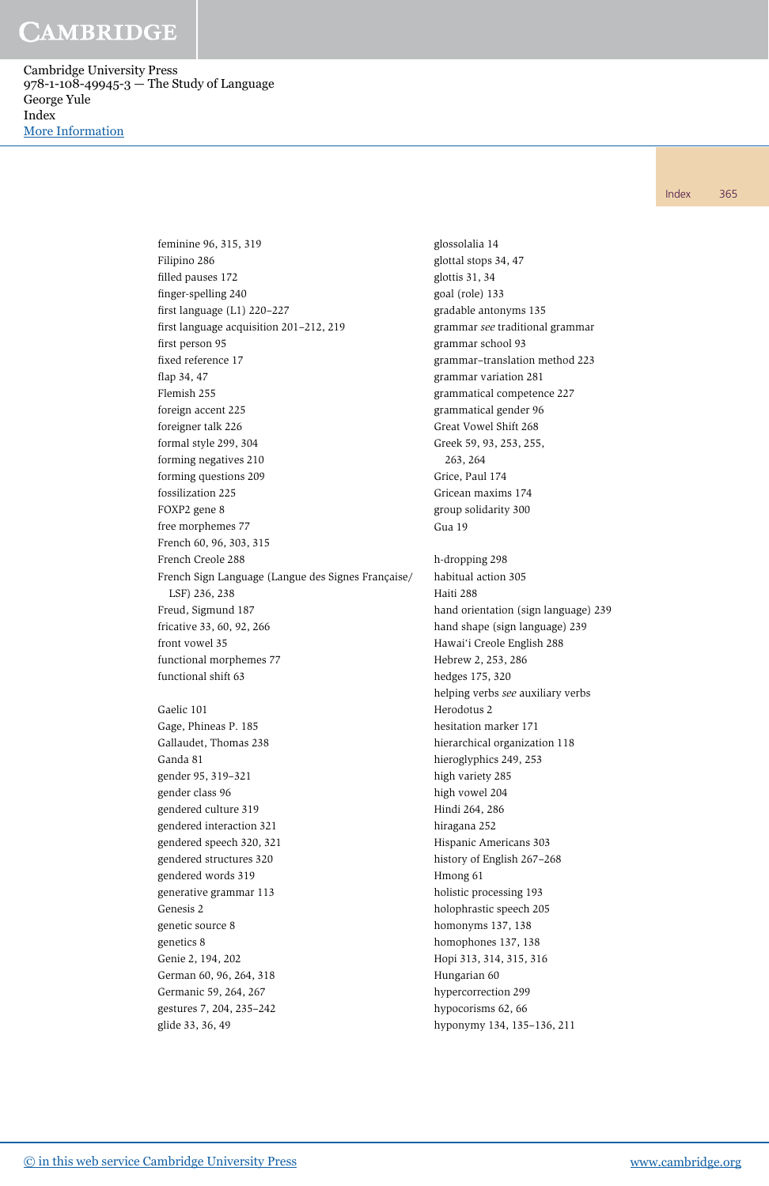Cambridge University Press 978-1-108-49945-3 — The Study of Language George Yule Index [More Information](www.cambridge.org/9781108499453)

Index 365

feminine 96, 315, 319 Filipino 286 filled pauses 172 finger-spelling 240 first language (L1) 220–227 first language acquisition 201–212, 219 first person 95 fixed reference 17 flap 34, 47 Flemish 255 foreign accent 225 foreigner talk 226 formal style 299, 304 forming negatives 210 forming questions 209 fossilization 225 FOXP2 gene 8 free morphemes 77 French 60, 96, 303, 315 French Creole 288 French Sign Language (Langue des Signes Française/ LSF) 236, 238 Freud, Sigmund 187 fricative 33, 60, 92, 266 front vowel 35 functional morphemes 77 functional shift 63 Gaelic 101 Gage, Phineas P. 185 Gallaudet, Thomas 238 Ganda 81 gender 95, 319–321 gender class 96 gendered culture 319 gendered interaction 321 gendered speech 320, 321 gendered structures 320 gendered words 319 generative grammar 113 Genesis 2 genetic source 8 genetics 8 Genie 2, 194, 202 German 60, 96, 264, 318 Germanic 59, 264, 267

glossolalia 14 glottal stops 34, 47 glottis 31, 34 goal (role) 133 gradable antonyms 135 grammar see traditional grammar grammar school 93 grammar–translation method 223 grammar variation 281 grammatical competence 227 grammatical gender 96 Great Vowel Shift 268 Greek 59, 93, 253, 255, 263, 264 Grice, Paul 174 Gricean maxims 174 group solidarity 300 Gua 19 h-dropping 298 habitual action 305 Haiti 288 hand orientation (sign language) 239 hand shape (sign language) 239 Hawai'i Creole English 288 Hebrew 2, 253, 286 hedges 175, 320 helping verbs see auxiliary verbs Herodotus 2 hesitation marker 171 hierarchical organization 118 hieroglyphics 249, 253 high variety 285 high vowel 204 Hindi 264, 286 hiragana 252 Hispanic Americans 303 history of English 267–268 Hmong 61 holistic processing 193 holophrastic speech 205 homonyms 137, 138 homophones 137, 138 Hopi 313, 314, 315, 316 Hungarian 60 hypercorrection 299 hypocorisms 62, 66 hyponymy 134, 135–136, 211

gestures 7, 204, 235–242

glide 33, 36, 49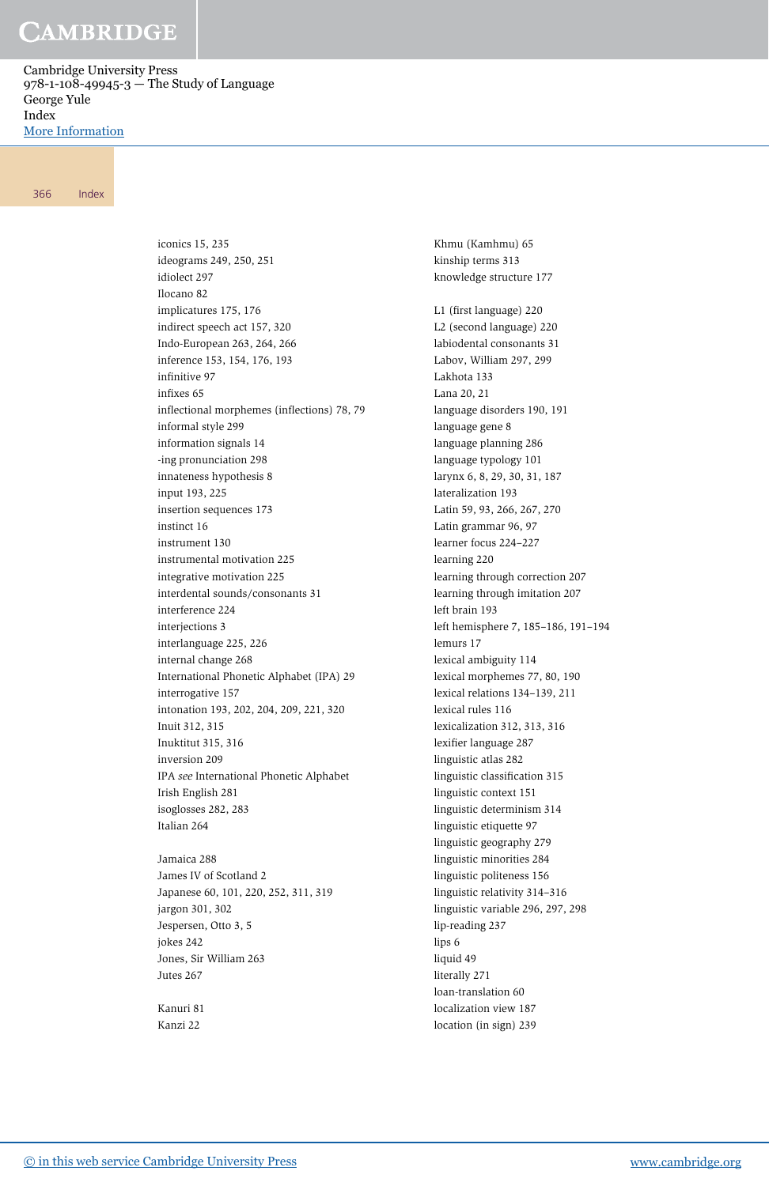Cambridge University Press 978-1-108-49945-3 — The Study of Language George Yule Index [More Information](www.cambridge.org/9781108499453)

#### 366 Index

iconics 15, 235 ideograms 249, 250, 251 idiolect 297 Ilocano 82 implicatures 175, 176 indirect speech act 157, 320 Indo-European 263, 264, 266 inference 153, 154, 176, 193 infinitive 97 infixes 65 inflectional morphemes (inflections) 78, 79 informal style 299 information signals 14 -ing pronunciation 298 innateness hypothesis 8 input 193, 225 insertion sequences 173 instinct 16 instrument 130 instrumental motivation 225 integrative motivation 225 interdental sounds/consonants 31 interference 224 interjections 3 interlanguage 225, 226 internal change 268 International Phonetic Alphabet (IPA) 29 interrogative 157 intonation 193, 202, 204, 209, 221, 320 Inuit 312, 315 Inuktitut 315, 316 inversion 209 IPA see International Phonetic Alphabet Irish English 281 isoglosses 282, 283 Italian 264

Jamaica 288 James IV of Scotland 2 Japanese 60, 101, 220, 252, 311, 319 jargon 301, 302 Jespersen, Otto 3, 5 jokes 242 Jones, Sir William 263 Jutes 267

Kanuri 81 Kanzi 22

Khmu (Kamhmu) 65 kinship terms 313 knowledge structure 177 L1 (first language) 220 L2 (second language) 220 labiodental consonants 31 Labov, William 297, 299 Lakhota 133 Lana 20, 21 language disorders 190, 191 language gene 8 language planning 286 language typology 101 larynx 6, 8, 29, 30, 31, 187 lateralization 193 Latin 59, 93, 266, 267, 270 Latin grammar 96, 97 learner focus 224–227 learning 220 learning through correction 207 learning through imitation 207 left brain 193 left hemisphere 7, 185–186, 191–194 lemurs 17 lexical ambiguity 114 lexical morphemes 77, 80, 190 lexical relations 134–139, 211 lexical rules 116 lexicalization 312, 313, 316 lexifier language 287 linguistic atlas 282 linguistic classification 315 linguistic context 151 linguistic determinism 314 linguistic etiquette 97 linguistic geography 279 linguistic minorities 284 linguistic politeness 156 linguistic relativity 314–316 linguistic variable 296, 297, 298 lip-reading 237 lips 6 liquid 49 literally 271 loan-translation 60 localization view 187

location (in sign) 239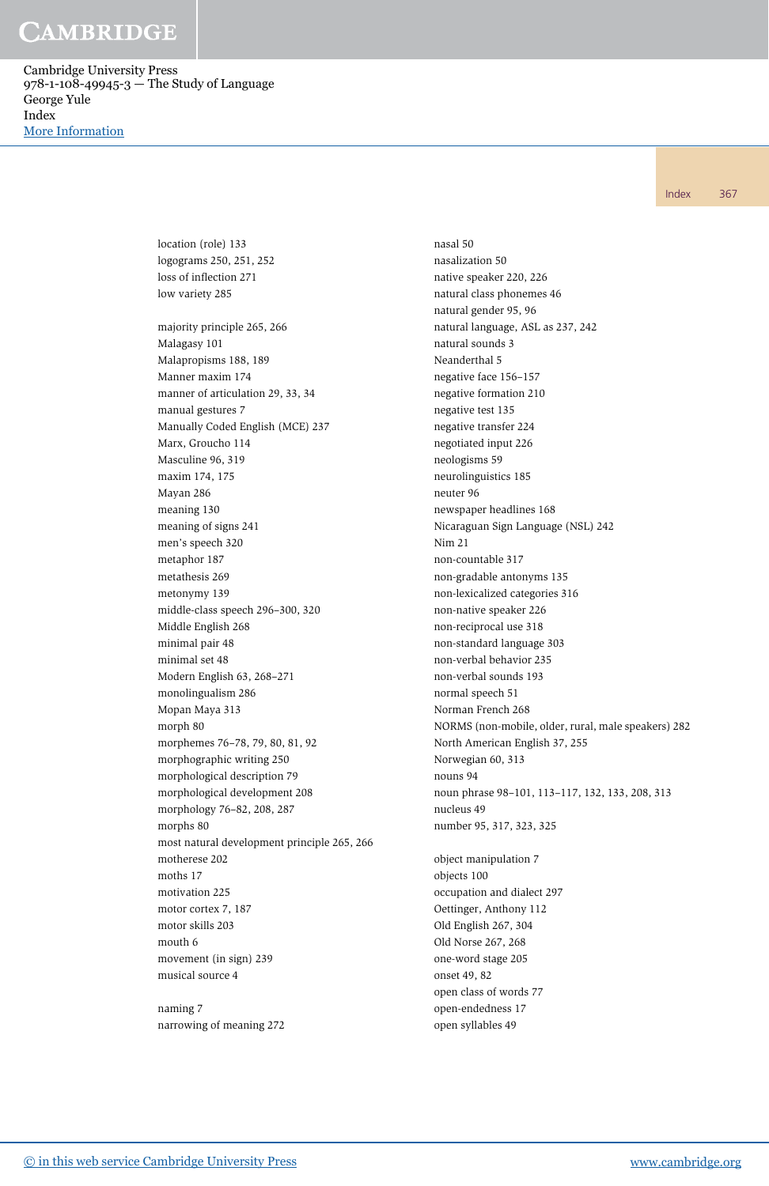Cambridge University Press 978-1-108-49945-3 — The Study of Language George Yule Index [More Information](www.cambridge.org/9781108499453)

Index 367

location (role) 133 logograms 250, 251, 252 loss of inflection 271 low variety 285 majority principle 265, 266 Malagasy 101 Malapropisms 188, 189 Manner maxim 174 manner of articulation 29, 33, 34 manual gestures 7 Manually Coded English (MCE) 237 Marx, Groucho 114 Masculine 96, 319 maxim 174, 175 Mayan 286 meaning 130 meaning of signs 241 men's speech 320 metaphor 187 metathesis 269 metonymy 139 middle-class speech 296–300, 320 Middle English 268 minimal pair 48 minimal set 48 Modern English 63, 268–271 monolingualism 286 Mopan Maya 313 morph 80 morphemes 76–78, 79, 80, 81, 92 morphographic writing 250 morphological description 79 morphological development 208 morphology 76–82, 208, 287 morphs 80 most natural development principle 265, 266 motherese 202 moths 17 motivation 225 motor cortex 7, 187 motor skills 203 mouth 6 movement (in sign) 239 musical source 4

naming 7 narrowing of meaning 272

nasal 50 nasalization 50 native speaker 220, 226 natural class phonemes 46 natural gender 95, 96 natural language, ASL as 237, 242 natural sounds 3 Neanderthal 5 negative face 156–157 negative formation 210 negative test 135 negative transfer 224 negotiated input 226 neologisms 59 neurolinguistics 185 neuter 96 newspaper headlines 168 Nicaraguan Sign Language (NSL) 242 Nim 21 non-countable 317 non-gradable antonyms 135 non-lexicalized categories 316 non-native speaker 226 non-reciprocal use 318 non-standard language 303 non-verbal behavior 235 non-verbal sounds 193 normal speech 51 Norman French 268 NORMS (non-mobile, older, rural, male speakers) 282 North American English 37, 255 Norwegian 60, 313 nouns 94 noun phrase 98–101, 113–117, 132, 133, 208, 313 nucleus 49 number 95, 317, 323, 325 object manipulation 7 objects 100 occupation and dialect 297 Oettinger, Anthony 112 Old English 267, 304 Old Norse 267, 268

one-word stage 205 onset 49, 82

open class of words 77 open-endedness 17 open syllables 49

[© in this web service Cambridge University Press](www.cambridge.org) www.cambridge.org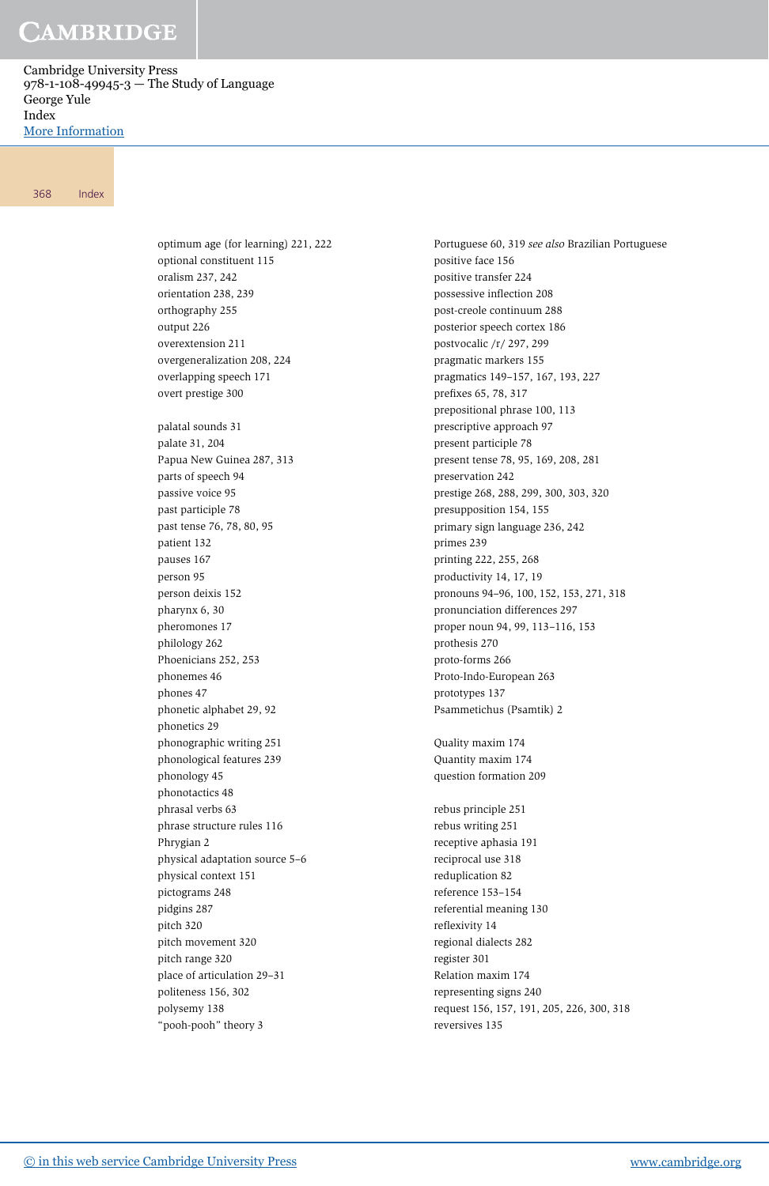Cambridge University Press 978-1-108-49945-3 — The Study of Language George Yule Index [More Information](www.cambridge.org/9781108499453)

#### 368 Index

optimum age (for learning) 221, 222 optional constituent 115 oralism 237, 242 orientation 238, 239 orthography 255 output 226 overextension 211 overgeneralization 208, 224 overlapping speech 171 overt prestige 300 palatal sounds 31 palate 31, 204 Papua New Guinea 287, 313 parts of speech 94 passive voice 95 past participle 78 past tense 76, 78, 80, 95 patient 132 pauses 167 person 95 person deixis 152 pharynx 6, 30 pheromones 17 philology 262 Phoenicians 252, 253 phonemes 46 phones 47 phonetic alphabet 29, 92 phonetics 29 phonographic writing 251 phonological features 239 phonology 45 phonotactics 48 phrasal verbs 63 phrase structure rules 116 Phrygian 2 physical adaptation source 5–6 physical context 151 pictograms 248 pidgins 287 pitch 320 pitch movement 320 pitch range 320 place of articulation 29–31 politeness 156, 302 polysemy 138 "pooh-pooh" theory 3

Portuguese 60, 319 see also Brazilian Portuguese positive face 156 positive transfer 224 possessive inflection 208 post-creole continuum 288 posterior speech cortex 186 postvocalic /r/ 297, 299 pragmatic markers 155 pragmatics 149–157, 167, 193, 227 prefixes 65, 78, 317 prepositional phrase 100, 113 prescriptive approach 97 present participle 78 present tense 78, 95, 169, 208, 281 preservation 242 prestige 268, 288, 299, 300, 303, 320 presupposition 154, 155 primary sign language 236, 242 primes 239 printing 222, 255, 268 productivity 14, 17, 19 pronouns 94–96, 100, 152, 153, 271, 318 pronunciation differences 297 proper noun 94, 99, 113–116, 153 prothesis 270 proto-forms 266 Proto-Indo-European 263 prototypes 137 Psammetichus (Psamtik) 2 Quality maxim 174 Quantity maxim 174 question formation 209 rebus principle 251 rebus writing 251 receptive aphasia 191 reciprocal use 318 reduplication 82 reference 153–154

referential meaning 130

request 156, 157, 191, 205, 226, 300, 318

reflexivity 14 regional dialects 282 register 301 Relation maxim 174 representing signs 240

reversives 135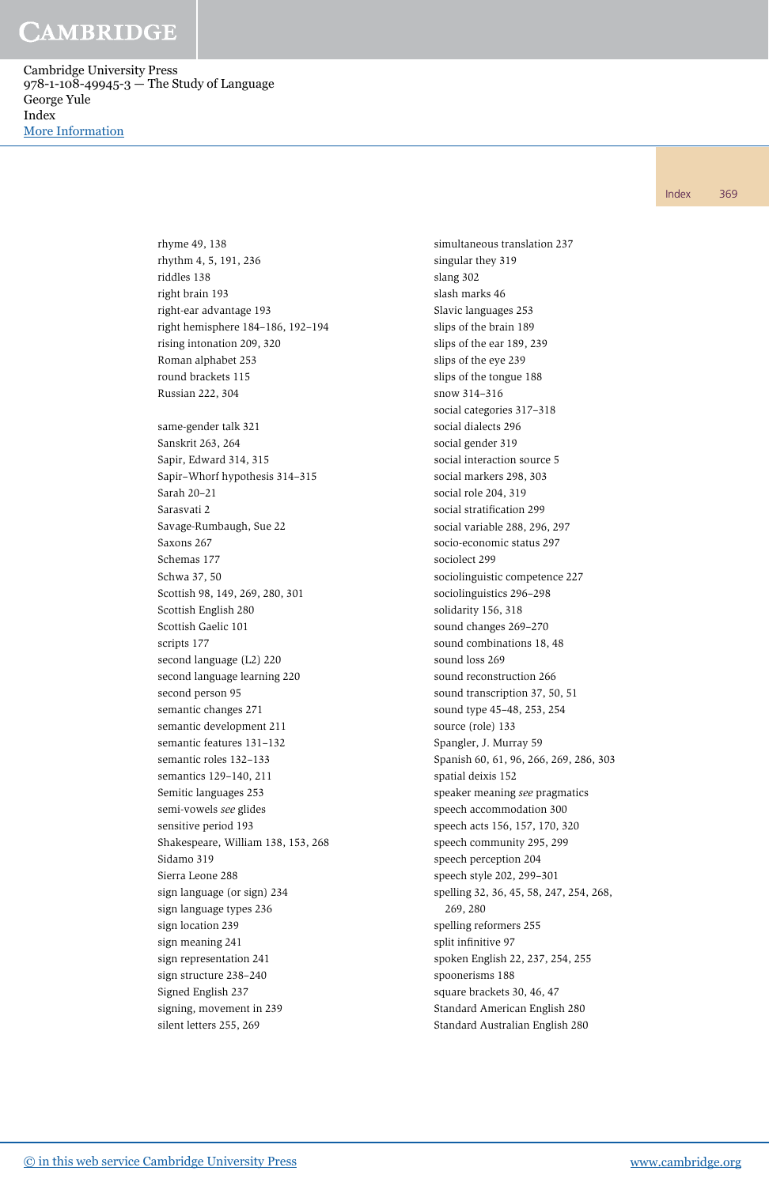Cambridge University Press 978-1-108-49945-3 — The Study of Language George Yule Index [More Information](www.cambridge.org/9781108499453)

Index 369

rhyme 49, 138 rhythm 4, 5, 191, 236 riddles 138 right brain 193 right-ear advantage 193 right hemisphere 184–186, 192–194 rising intonation 209, 320 Roman alphabet 253 round brackets 115 Russian 222, 304 same-gender talk 321 Sanskrit 263, 264 Sapir, Edward 314, 315 Sapir–Whorf hypothesis 314–315 Sarah 20–21 Sarasvati 2 Savage-Rumbaugh, Sue 22 Saxons 267 Schemas 177 Schwa 37, 50 Scottish 98, 149, 269, 280, 301 Scottish English 280 Scottish Gaelic 101 scripts 177 second language (L2) 220 second language learning 220 second person 95 semantic changes 271 semantic development 211 semantic features 131–132 semantic roles 132–133 semantics 129–140, 211 Semitic languages 253 semi-vowels see glides sensitive period 193 Shakespeare, William 138, 153, 268 Sidamo 319 Sierra Leone 288 sign language (or sign) 234 sign language types 236 sign location 239 sign meaning 241 sign representation 241 sign structure 238–240 Signed English 237 signing, movement in 239 silent letters 255, 269

simultaneous translation 237 singular they 319 slang 302 slash marks 46 Slavic languages 253 slips of the brain 189 slips of the ear 189, 239 slips of the eye 239 slips of the tongue 188 snow 314–316 social categories 317–318 social dialects 296 social gender 319 social interaction source 5 social markers 298, 303 social role 204, 319 social stratification 299 social variable 288, 296, 297 socio-economic status 297 sociolect 299 sociolinguistic competence 227 sociolinguistics 296–298 solidarity 156, 318 sound changes 269–270 sound combinations 18, 48 sound loss 269 sound reconstruction 266 sound transcription 37, 50, 51 sound type 45–48, 253, 254 source (role) 133 Spangler, J. Murray 59 Spanish 60, 61, 96, 266, 269, 286, 303 spatial deixis 152 speaker meaning see pragmatics speech accommodation 300 speech acts 156, 157, 170, 320 speech community 295, 299 speech perception 204 speech style 202, 299–301 spelling 32, 36, 45, 58, 247, 254, 268, 269, 280 spelling reformers 255 split infinitive 97 spoken English 22, 237, 254, 255 spoonerisms 188 square brackets 30, 46, 47 Standard American English 280 Standard Australian English 280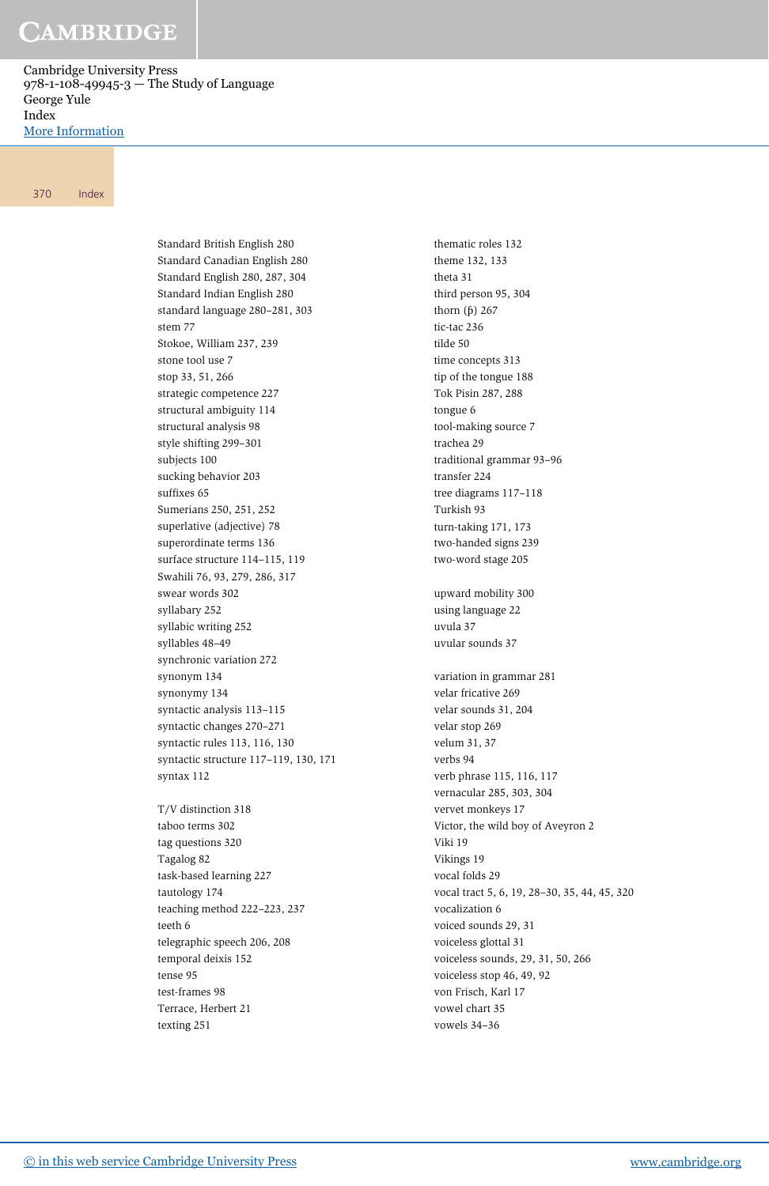Cambridge University Press 978-1-108-49945-3 — The Study of Language George Yule Index [More Information](www.cambridge.org/9781108499453)

#### 370 Index

Standard British English 280 Standard Canadian English 280 Standard English 280, 287, 304 Standard Indian English 280 standard language 280–281, 303 stem 77 Stokoe, William 237, 239 stone tool use 7 stop 33, 51, 266 strategic competence 227 structural ambiguity 114 structural analysis 98 style shifting 299–301 subjects 100 sucking behavior 203 suffixes 65 Sumerians 250, 251, 252 superlative (adjective) 78 superordinate terms 136 surface structure 114–115, 119 Swahili 76, 93, 279, 286, 317 swear words 302 syllabary 252 syllabic writing 252 syllables 48–49 synchronic variation 272 synonym 134 synonymy 134 syntactic analysis 113–115 syntactic changes 270–271 syntactic rules 113, 116, 130 syntactic structure 117–119, 130, 171 syntax 112

T/V distinction 318 taboo terms 302 tag questions 320 Tagalog 82 task-based learning 227 tautology 174 teaching method 222–223, 237 teeth 6 telegraphic speech 206, 208 temporal deixis 152 tense 95 test-frames 98 Terrace, Herbert 21 texting 251

thematic roles 132 theme 132, 133 theta 31 third person 95, 304 thorn  $(\beta)$  267 tic-tac 236 tilde 50 time concepts 313 tip of the tongue 188 Tok Pisin 287, 288 tongue 6 tool-making source 7 trachea 29 traditional grammar 93–96 transfer 224 tree diagrams 117–118 Turkish 93 turn-taking 171, 173 two-handed signs 239 two-word stage 205 upward mobility 300 using language 22 uvula 37 uvular sounds 37 variation in grammar 281 velar fricative 269 velar sounds 31, 204 velar stop 269 velum 31, 37 verbs 94 verb phrase 115, 116, 117 vernacular 285, 303, 304 vervet monkeys 17 Victor, the wild boy of Aveyron 2 Viki 19 Vikings 19 vocal folds 29 vocal tract 5, 6, 19, 28–30, 35, 44, 45, 320 vocalization 6 voiced sounds 29, 31 voiceless glottal 31 voiceless sounds, 29, 31, 50, 266 voiceless stop 46, 49, 92 von Frisch, Karl 17 vowel chart 35 vowels 34–36